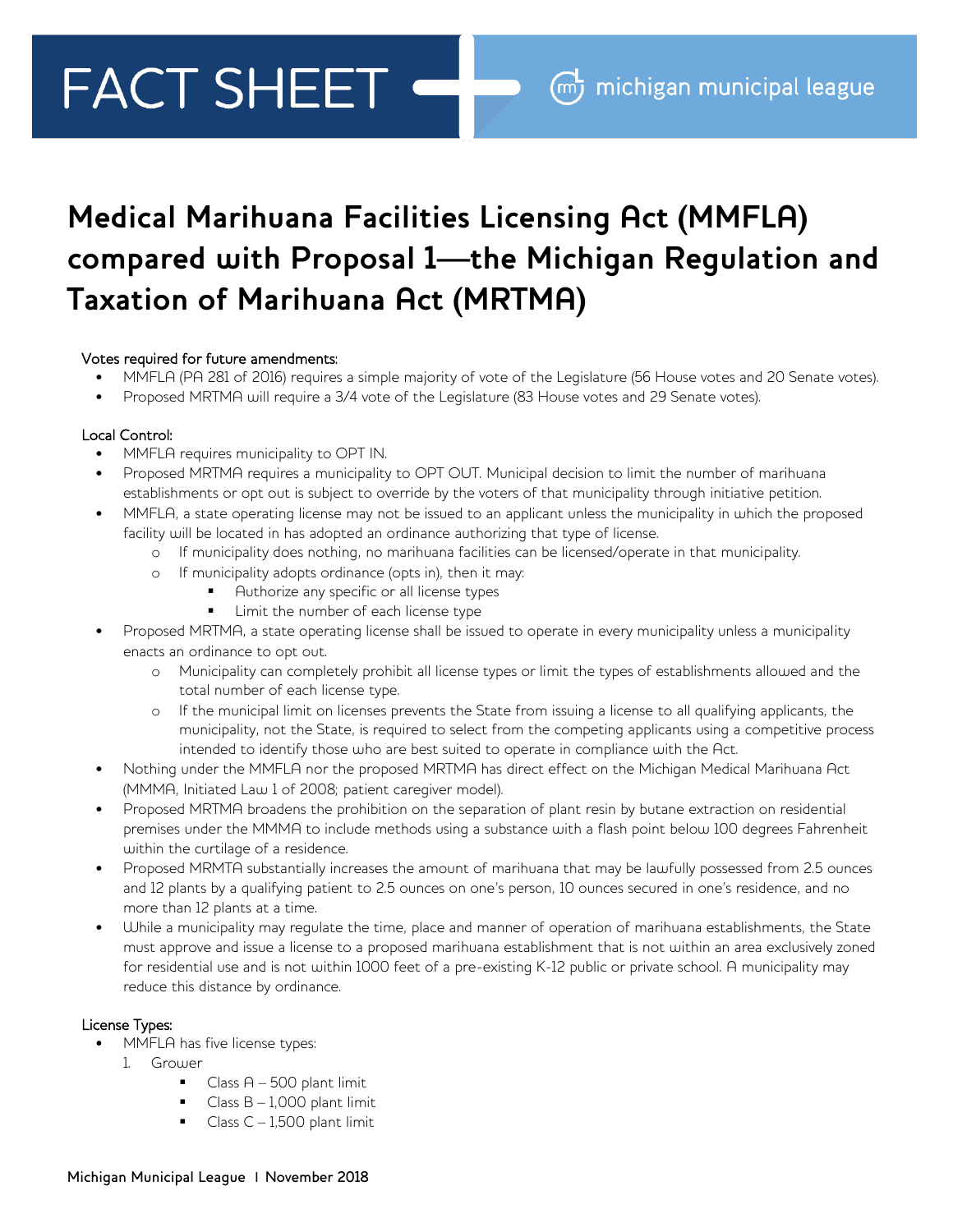# **FACT SHEET**

# **Medical Marihuana Facilities Licensing Act (MMFLA) compared with Proposal 1—the Michigan Regulation and Taxation of Marihuana Act (MRTMA)**

### Votes required for future amendments:

- MMFLA (PA 281 of 2016) requires a simple majority of vote of the Legislature (56 House votes and 20 Senate votes).
- Proposed MRTMA will require a 3/4 vote of the Legislature (83 House votes and 29 Senate votes).

# Local Control:

- MMFLA requires municipality to OPT IN.
- Proposed MRTMA requires a municipality to OPT OUT. Municipal decision to limit the number of marihuana establishments or opt out is subject to override by the voters of that municipality through initiative petition.
- MMFLA, a state operating license may not be issued to an applicant unless the municipality in which the proposed facility will be located in has adopted an ordinance authorizing that type of license.
	- o If municipality does nothing, no marihuana facilities can be licensed/operate in that municipality.
	- o If municipality adopts ordinance (opts in), then it may:
		- Authorize any specific or all license types
		- Limit the number of each license type
- Proposed MRTMA, a state operating license shall be issued to operate in every municipality unless a municipality enacts an ordinance to opt out.
	- o Municipality can completely prohibit all license types or limit the types of establishments allowed and the total number of each license type.
	- o If the municipal limit on licenses prevents the State from issuing a license to all qualifying applicants, the municipality, not the State, is required to select from the competing applicants using a competitive process intended to identify those who are best suited to operate in compliance with the Act.
- Nothing under the MMFLA nor the proposed MRTMA has direct effect on the Michigan Medical Marihuana Act (MMMA, Initiated Law 1 of 2008; patient caregiver model).
- Proposed MRTMA broadens the prohibition on the separation of plant resin by butane extraction on residential premises under the MMMA to include methods using a substance with a flash point below 100 degrees Fahrenheit within the curtilage of a residence.
- Proposed MRMTA substantially increases the amount of marihuana that may be lawfully possessed from 2.5 ounces and 12 plants by a qualifying patient to 2.5 ounces on one's person, 10 ounces secured in one's residence, and no more than 12 plants at a time.
- While a municipality may regulate the time, place and manner of operation of marihuana establishments, the State must approve and issue a license to a proposed marihuana establishment that is not within an area exclusively zoned for residential use and is not within 1000 feet of a pre-existing K-12 public or private school. A municipality may reduce this distance by ordinance.

### License Types:

- MMFLA has five license types:
	- 1. Grower
		- $\blacksquare$  Class A 500 plant limit
		- Class  $B 1,000$  plant limit
		- Class  $C 1,500$  plant limit